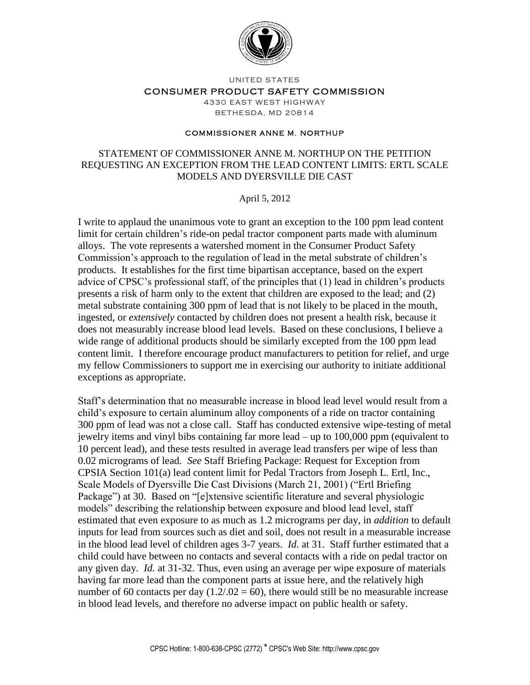

UNITED STATES

## CONSUMER PRODUCT SAFETY COMMISSION

4330 EAST WEST HIGHWAY **BETHESDA, MD 20814** 

## **COMMISSIONER ANNE M. NORTHUP**

## STATEMENT OF COMMISSIONER ANNE M. NORTHUP ON THE PETITION REQUESTING AN EXCEPTION FROM THE LEAD CONTENT LIMITS: ERTL SCALE MODELS AND DYERSVILLE DIE CAST

April 5, 2012

I write to applaud the unanimous vote to grant an exception to the 100 ppm lead content limit for certain children's ride-on pedal tractor component parts made with aluminum alloys. The vote represents a watershed moment in the Consumer Product Safety Commission's approach to the regulation of lead in the metal substrate of children's products. It establishes for the first time bipartisan acceptance, based on the expert advice of CPSC's professional staff, of the principles that (1) lead in children's products presents a risk of harm only to the extent that children are exposed to the lead; and (2) metal substrate containing 300 ppm of lead that is not likely to be placed in the mouth, ingested, or *extensively* contacted by children does not present a health risk, because it does not measurably increase blood lead levels. Based on these conclusions, I believe a wide range of additional products should be similarly excepted from the 100 ppm lead content limit. I therefore encourage product manufacturers to petition for relief, and urge my fellow Commissioners to support me in exercising our authority to initiate additional exceptions as appropriate.

Staff's determination that no measurable increase in blood lead level would result from a child's exposure to certain aluminum alloy components of a ride on tractor containing 300 ppm of lead was not a close call. Staff has conducted extensive wipe-testing of metal jewelry items and vinyl bibs containing far more lead – up to 100,000 ppm (equivalent to 10 percent lead), and these tests resulted in average lead transfers per wipe of less than 0.02 micrograms of lead. *See* Staff Briefing Package: Request for Exception from CPSIA Section 101(a) lead content limit for Pedal Tractors from Joseph L. Ertl, Inc., Scale Models of Dyersville Die Cast Divisions (March 21, 2001) ("Ertl Briefing Package") at 30. Based on "[e]xtensive scientific literature and several physiologic models" describing the relationship between exposure and blood lead level, staff estimated that even exposure to as much as 1.2 micrograms per day, in *addition* to default inputs for lead from sources such as diet and soil, does not result in a measurable increase in the blood lead level of children ages 3-7 years. *Id.* at 31. Staff further estimated that a child could have between no contacts and several contacts with a ride on pedal tractor on any given day. *Id.* at 31-32. Thus, even using an average per wipe exposure of materials having far more lead than the component parts at issue here, and the relatively high number of 60 contacts per day  $(1.2/0.02 = 60)$ , there would still be no measurable increase in blood lead levels, and therefore no adverse impact on public health or safety.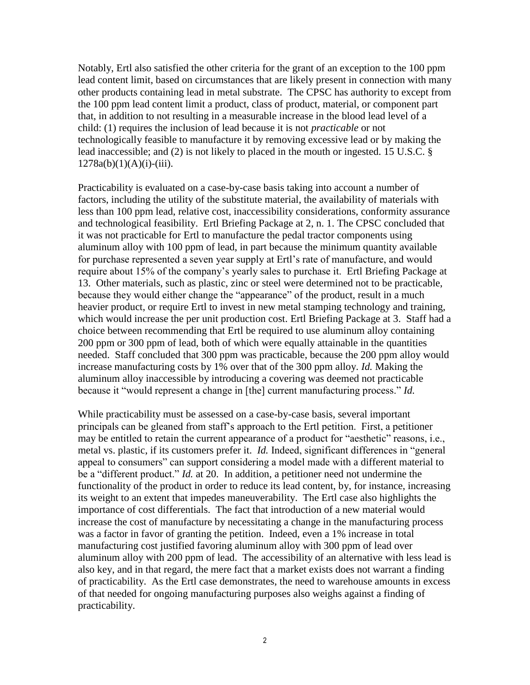Notably, Ertl also satisfied the other criteria for the grant of an exception to the 100 ppm lead content limit, based on circumstances that are likely present in connection with many other products containing lead in metal substrate. The CPSC has authority to except from the 100 ppm lead content limit a product, class of product, material, or component part that, in addition to not resulting in a measurable increase in the blood lead level of a child: (1) requires the inclusion of lead because it is not *practicable* or not technologically feasible to manufacture it by removing excessive lead or by making the lead inaccessible; and (2) is not likely to placed in the mouth or ingested. 15 U.S.C. §  $1278a(b)(1)(A)(i)-(iii)$ .

Practicability is evaluated on a case-by-case basis taking into account a number of factors, including the utility of the substitute material, the availability of materials with less than 100 ppm lead, relative cost, inaccessibility considerations, conformity assurance and technological feasibility. Ertl Briefing Package at 2, n. 1. The CPSC concluded that it was not practicable for Ertl to manufacture the pedal tractor components using aluminum alloy with 100 ppm of lead, in part because the minimum quantity available for purchase represented a seven year supply at Ertl's rate of manufacture, and would require about 15% of the company's yearly sales to purchase it. Ertl Briefing Package at 13. Other materials, such as plastic, zinc or steel were determined not to be practicable, because they would either change the "appearance" of the product, result in a much heavier product, or require Ertl to invest in new metal stamping technology and training, which would increase the per unit production cost. Ertl Briefing Package at 3. Staff had a choice between recommending that Ertl be required to use aluminum alloy containing 200 ppm or 300 ppm of lead, both of which were equally attainable in the quantities needed. Staff concluded that 300 ppm was practicable, because the 200 ppm alloy would increase manufacturing costs by 1% over that of the 300 ppm alloy. *Id.* Making the aluminum alloy inaccessible by introducing a covering was deemed not practicable because it "would represent a change in [the] current manufacturing process." *Id.* 

While practicability must be assessed on a case-by-case basis, several important principals can be gleaned from staff's approach to the Ertl petition. First, a petitioner may be entitled to retain the current appearance of a product for "aesthetic" reasons, i.e., metal vs. plastic, if its customers prefer it. *Id.* Indeed, significant differences in "general appeal to consumers" can support considering a model made with a different material to be a "different product." *Id.* at 20. In addition, a petitioner need not undermine the functionality of the product in order to reduce its lead content, by, for instance, increasing its weight to an extent that impedes maneuverability. The Ertl case also highlights the importance of cost differentials. The fact that introduction of a new material would increase the cost of manufacture by necessitating a change in the manufacturing process was a factor in favor of granting the petition. Indeed, even a 1% increase in total manufacturing cost justified favoring aluminum alloy with 300 ppm of lead over aluminum alloy with 200 ppm of lead. The accessibility of an alternative with less lead is also key, and in that regard, the mere fact that a market exists does not warrant a finding of practicability. As the Ertl case demonstrates, the need to warehouse amounts in excess of that needed for ongoing manufacturing purposes also weighs against a finding of practicability.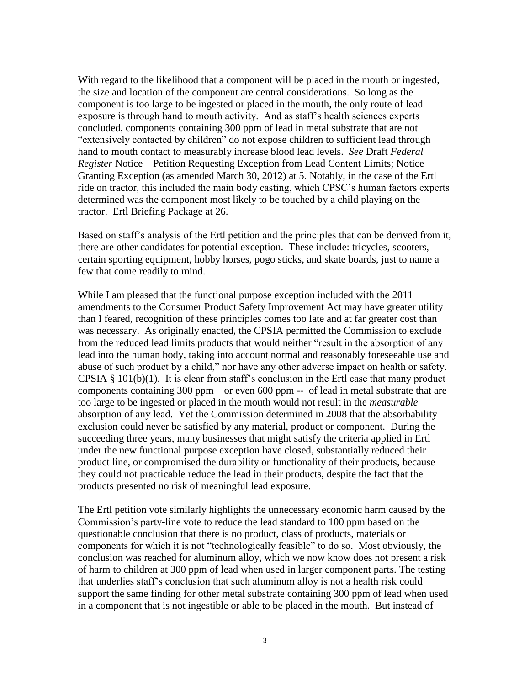With regard to the likelihood that a component will be placed in the mouth or ingested, the size and location of the component are central considerations. So long as the component is too large to be ingested or placed in the mouth, the only route of lead exposure is through hand to mouth activity. And as staff's health sciences experts concluded, components containing 300 ppm of lead in metal substrate that are not "extensively contacted by children" do not expose children to sufficient lead through hand to mouth contact to measurably increase blood lead levels. *See* Draft *Federal Register* Notice – Petition Requesting Exception from Lead Content Limits; Notice Granting Exception (as amended March 30, 2012) at 5. Notably, in the case of the Ertl ride on tractor, this included the main body casting, which CPSC's human factors experts determined was the component most likely to be touched by a child playing on the tractor. Ertl Briefing Package at 26.

Based on staff's analysis of the Ertl petition and the principles that can be derived from it, there are other candidates for potential exception. These include: tricycles, scooters, certain sporting equipment, hobby horses, pogo sticks, and skate boards, just to name a few that come readily to mind.

While I am pleased that the functional purpose exception included with the 2011 amendments to the Consumer Product Safety Improvement Act may have greater utility than I feared, recognition of these principles comes too late and at far greater cost than was necessary. As originally enacted, the CPSIA permitted the Commission to exclude from the reduced lead limits products that would neither "result in the absorption of any lead into the human body, taking into account normal and reasonably foreseeable use and abuse of such product by a child," nor have any other adverse impact on health or safety. CPSIA § 101(b)(1). It is clear from staff's conclusion in the Ertl case that many product components containing 300 ppm – or even 600 ppm  $-$  of lead in metal substrate that are too large to be ingested or placed in the mouth would not result in the *measurable*  absorption of any lead. Yet the Commission determined in 2008 that the absorbability exclusion could never be satisfied by any material, product or component. During the succeeding three years, many businesses that might satisfy the criteria applied in Ertl under the new functional purpose exception have closed, substantially reduced their product line, or compromised the durability or functionality of their products, because they could not practicable reduce the lead in their products, despite the fact that the products presented no risk of meaningful lead exposure.

The Ertl petition vote similarly highlights the unnecessary economic harm caused by the Commission's party-line vote to reduce the lead standard to 100 ppm based on the questionable conclusion that there is no product, class of products, materials or components for which it is not "technologically feasible" to do so. Most obviously, the conclusion was reached for aluminum alloy, which we now know does not present a risk of harm to children at 300 ppm of lead when used in larger component parts. The testing that underlies staff's conclusion that such aluminum alloy is not a health risk could support the same finding for other metal substrate containing 300 ppm of lead when used in a component that is not ingestible or able to be placed in the mouth. But instead of